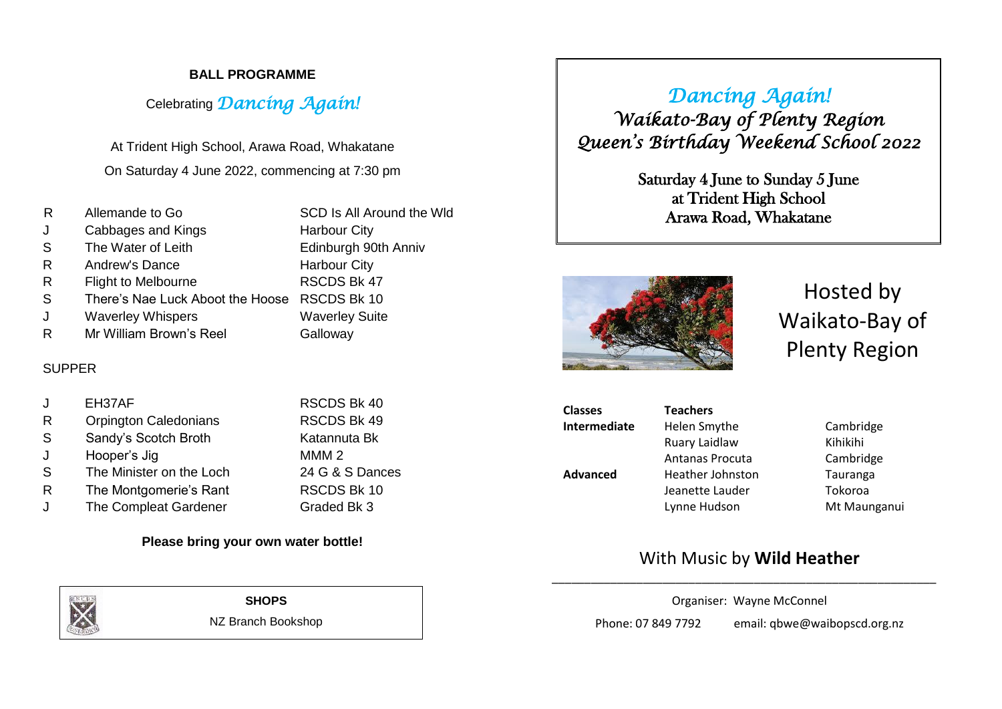#### **BALL PROGRAMME**

# Celebrating *Dancing Again!*

At Trident High School, Arawa Road, Whakatane On Saturday 4 June 2022, commencing at 7:30 pm

| R  | Allemande to Go                              | SCD Is All Around the Wld |
|----|----------------------------------------------|---------------------------|
| J  | Cabbages and Kings                           | <b>Harbour City</b>       |
| S  | The Water of Leith                           | Edinburgh 90th Anniv      |
| R. | Andrew's Dance                               | <b>Harbour City</b>       |
| R. | <b>Flight to Melbourne</b>                   | RSCDS Bk 47               |
| S  | There's Nae Luck Aboot the Hoose RSCDS Bk 10 |                           |
| J  | <b>Waverley Whispers</b>                     | <b>Waverley Suite</b>     |
| R  | Mr William Brown's Reel                      | Galloway                  |

#### SUPPER

|              | EH37AF                       | RSCDS Bk 40        |
|--------------|------------------------------|--------------------|
| R            | <b>Orpington Caledonians</b> | RSCDS Bk 49        |
| <sub>S</sub> | Sandy's Scotch Broth         | Katannuta Bk       |
| J.           | Hooper's Jig                 | MMM <sub>2</sub>   |
| <sub>S</sub> | The Minister on the Loch     | 24 G & S Dances    |
| R            | The Montgomerie's Rant       | <b>RSCDS Bk 10</b> |
| J.           | The Compleat Gardener        | Graded Bk 3        |

#### **Please bring your own water bottle!**



**SHOPS**

NZ Branch Bookshop

*Dancing Again! Waikato-Bay of Plenty Region Queen's Birthday Weekend School 2022* 

> Saturday 4 June to Sunday 5 June at Trident High School Arawa Road, Whakatane



Hosted by Waikato-Bay of Plenty Region

| <b>Classes</b>  | <b>Teachers</b>        |              |
|-----------------|------------------------|--------------|
| Intermediate    | Helen Smythe           | Cambridge    |
|                 | Ruary Laidlaw          | Kihikihi     |
|                 | <b>Antanas Procuta</b> | Cambridge    |
| <b>Advanced</b> | Heather Johnston       | Tauranga     |
|                 | Jeanette Lauder        | Tokoroa      |
|                 | Lynne Hudson           | Mt Maunganui |
|                 |                        |              |

## With Music by **Wild Heather**

Organiser: Wayne McConnel

\_\_\_\_\_\_\_\_\_\_\_\_\_\_\_\_\_\_\_\_\_\_\_\_\_\_\_\_\_\_\_\_\_\_\_\_\_\_\_\_\_\_\_\_\_\_\_\_\_\_\_\_\_\_\_\_\_\_\_

Phone: 07 849 7792 email: qbwe@waibopscd.org.nz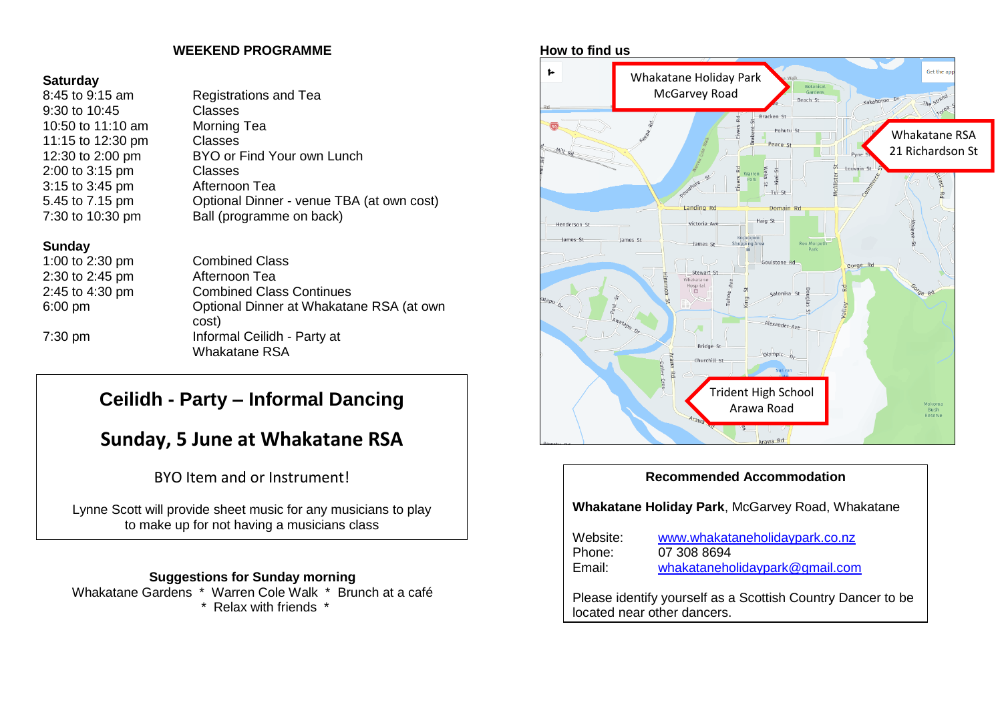#### **WEEKEND PROGRAMME**

# **Saturday**<br>8:45 to 9:1

| 8:45 to 9:15 am   | <b>Registrations and Tea</b>              |
|-------------------|-------------------------------------------|
| 9:30 to 10:45     | <b>Classes</b>                            |
| 10:50 to 11:10 am | Morning Tea                               |
| 11:15 to 12:30 pm | <b>Classes</b>                            |
| 12:30 to 2:00 pm  | BYO or Find Your own Lunch                |
| 2:00 to 3:15 pm   | Classes                                   |
| 3:15 to 3:45 pm   | Afternoon Tea                             |
| 5.45 to 7.15 pm   | Optional Dinner - venue TBA (at own cost) |
| 7:30 to 10:30 pm  | Ball (programme on back)                  |
|                   |                                           |

#### **Sunday**

1:00 to 2:30 pm Combined Class 2:30 to 2:45 pm Afternoon Tea 2:45 to 4:30 pm 6:00 pm

# Combined Class Continues Optional Dinner at Whakatane RSA (at own cost) 7:30 pm Informal Ceilidh - Party at

Whakatane RSA

# **Ceilidh - Party – Informal Dancing**

# **Sunday, 5 June at Whakatane RSA**

## BYO Item and or Instrument!

Lynne Scott will provide sheet music for any musicians to play to make up for not having a musicians class

#### **Suggestions for Sunday morning**

Whakatane Gardens \* Warren Cole Walk \* Brunch at a café \* Relax with friends \*



#### **Recommended Accommodation**

**Whakatane Holiday Park**, McGarvey Road, Whakatane

| Website:                    | www.whakataneholidaypark.co.nz                              |
|-----------------------------|-------------------------------------------------------------|
| Phone:                      | 07 308 8694                                                 |
| Email:                      | whakataneholidaypark@gmail.com                              |
| located near other dancers. | Please identify yourself as a Scottish Country Dancer to be |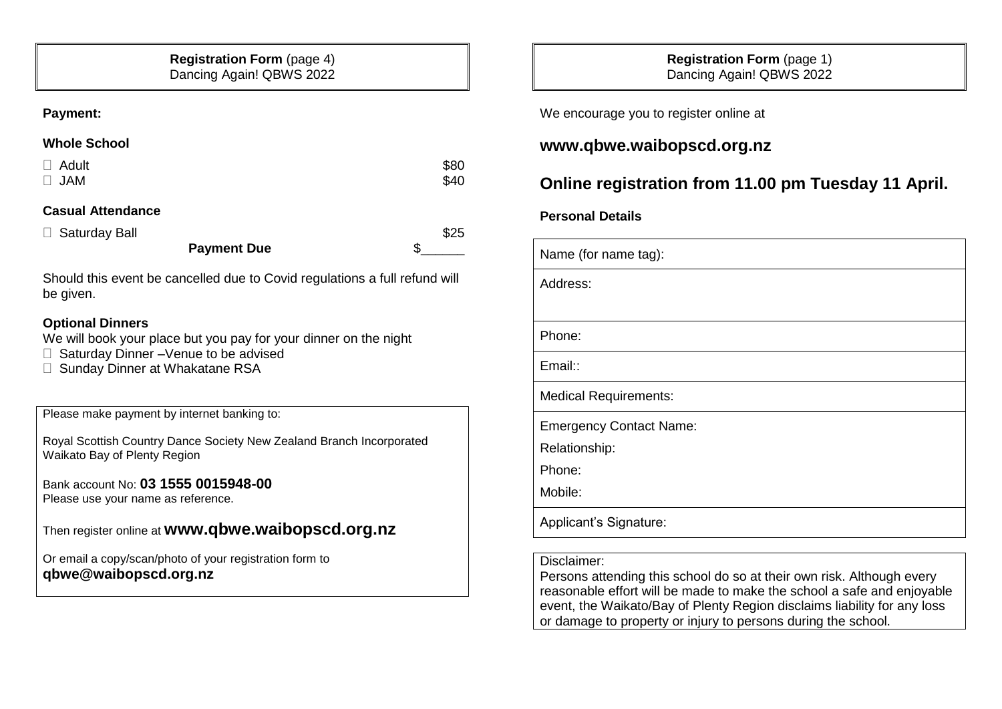#### **Payment:**

#### **Whole School**

| $\Box$ Adult | \$80 |
|--------------|------|
| $\Box$ JAM   | \$40 |

#### **Casual Attendance**

| □ Saturday Ball |                    | \$25 |
|-----------------|--------------------|------|
|                 | <b>Payment Due</b> |      |

Should this event be cancelled due to Covid regulations a full refund will be given.

#### **Optional Dinners**

We will book your place but you pay for your dinner on the night

- □ Saturday Dinner –Venue to be advised
- □ Sunday Dinner at Whakatane RSA

Please make payment by internet banking to:

Royal Scottish Country Dance Society New Zealand Branch Incorporated Waikato Bay of Plenty Region

Bank account No: **03 1555 0015948-00** Please use your name as reference.

Then register online at **[www.qbwe.waibopscd.org.nz](http://www.qbwe.waibopscd.org.nz/)**

Or email a copy/scan/photo of your registration form to **qbwe@waibopscd.org.nz**

**Registration Form** (page 1) Dancing Again! QBWS 2022

We encourage you to register online at

## **[www.qbwe.waibopscd.org.nz](http://www.qbwe.waibopscd.org.nz/)**

# **Online registration from 11.00 pm Tuesday 11 April.**

#### **Personal Details**

| Name (for name tag):           |
|--------------------------------|
| Address:                       |
|                                |
| Phone:                         |
| Email::                        |
| <b>Medical Requirements:</b>   |
| <b>Emergency Contact Name:</b> |
| Relationship:                  |
| Phone:                         |
| Mobile:                        |
| Applicant's Signature:         |

#### Disclaimer:

Persons attending this school do so at their own risk. Although every reasonable effort will be made to make the school a safe and enjoyable event, the Waikato/Bay of Plenty Region disclaims liability for any loss or damage to property or injury to persons during the school.